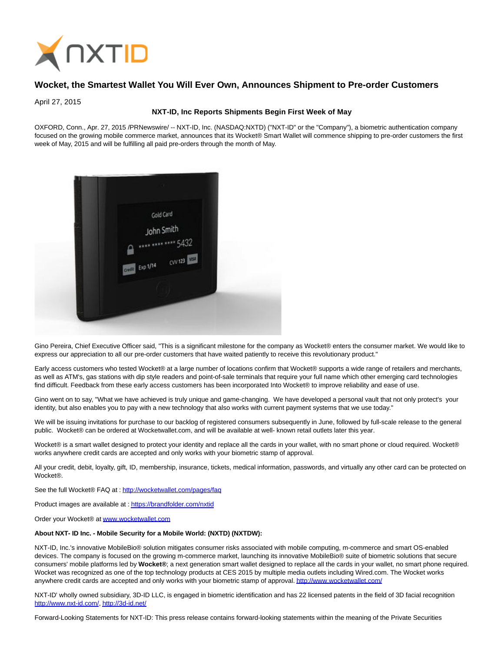

## **Wocket, the Smartest Wallet You Will Ever Own, Announces Shipment to Pre-order Customers**

April 27, 2015

## **NXT-ID, Inc Reports Shipments Begin First Week of May**

OXFORD, Conn., Apr. 27, 2015 /PRNewswire/ -- NXT-ID, Inc. (NASDAQ:NXTD) ("NXT-ID" or the "Company"), a biometric authentication company focused on the growing mobile commerce market, announces that its Wocket® Smart Wallet will commence shipping to pre-order customers the first week of May, 2015 and will be fulfilling all paid pre-orders through the month of May.



Gino Pereira, Chief Executive Officer said, "This is a significant milestone for the company as Wocket® enters the consumer market. We would like to express our appreciation to all our pre-order customers that have waited patiently to receive this revolutionary product."

Early access customers who tested Wocket® at a large number of locations confirm that Wocket® supports a wide range of retailers and merchants, as well as ATM's, gas stations with dip style readers and point-of-sale terminals that require your full name which other emerging card technologies find difficult. Feedback from these early access customers has been incorporated Into Wocket® to improve reliability and ease of use.

Gino went on to say, "What we have achieved is truly unique and game-changing. We have developed a personal vault that not only protect's your identity, but also enables you to pay with a new technology that also works with current payment systems that we use today."

We will be issuing invitations for purchase to our backlog of registered consumers subsequently in June, followed by full-scale release to the general public. Wocket® can be ordered at Wocketwallet.com, and will be available at well- known retail outlets later this year.

Wocket® is a smart wallet designed to protect your identity and replace all the cards in your wallet, with no smart phone or cloud required. Wocket® works anywhere credit cards are accepted and only works with your biometric stamp of approval.

All your credit, debit, loyalty, gift, ID, membership, insurance, tickets, medical information, passwords, and virtually any other card can be protected on Wocket®.

See the full Wocket® FAQ at :<http://wocketwallet.com/pages/faq>

Product images are available at [: https://brandfolder.com/nxtid](https://brandfolder.com/nxtid)

Order your Wocket® a[t www.wocketwallet.com](http://www.wocketwallet.com/)

## **About NXT- ID Inc. - Mobile Security for a Mobile World: (NXTD) (NXTDW):**

NXT-ID, Inc.'s innovative MobileBio® solution mitigates consumer risks associated with mobile computing, m-commerce and smart OS-enabled devices. The company is focused on the growing m-commerce market, launching its innovative MobileBio® suite of biometric solutions that secure consumers' mobile platforms led by **Wocket®**; a next generation smart wallet designed to replace all the cards in your wallet, no smart phone required. Wocket was recognized as one of the top technology products at CES 2015 by multiple media outlets including Wired.com. The Wocket works anywhere credit cards are accepted and only works with your biometric stamp of approval[. http://www.wocketwallet.com/](http://www.wocketwallet.com/)

NXT-ID' wholly owned subsidiary, 3D-ID LLC, is engaged in biometric identification and has 22 licensed patents in the field of 3D facial recognition [http://www.nxt-id.com/,](http://www.nxt-id.com/)<http://3d-id.net/>

Forward-Looking Statements for NXT-ID: This press release contains forward-looking statements within the meaning of the Private Securities